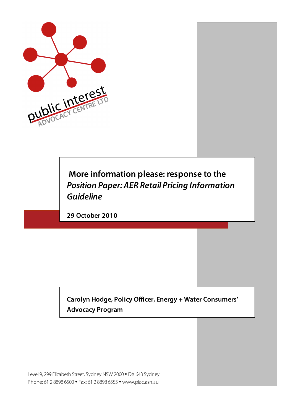

# **More information please: response to the**  *Position Paper: AER Retail Pricing Information Guideline*

**29 October 2010**

**Carolyn Hodge, Policy Officer, Energy + Water Consumers' Advocacy Program**

Level 9, 299 Elizabeth Street, Sydney NSW 2000 • DX 643 Sydney Phone: 61 2 8898 6500 • Fax: 61 2 8898 6555 • www.piac.asn.au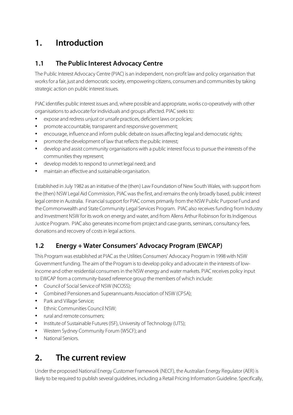# **1. Introduction**

### **1.1 The Public Interest Advocacy Centre**

The Public Interest Advocacy Centre (PIAC) is an independent, non-profit law and policy organisation that works for a fair, just and democratic society, empowering citizens, consumers and communities by taking strategic action on public interest issues.

PIAC identifies public interest issues and, where possible and appropriate, works co-operatively with other organisations to advocate for individuals and groups affected. PIAC seeks to:

- expose and redress unjust or unsafe practices, deficient laws or policies;
- promote accountable, transparent and responsive government;
- encourage, influence and inform public debate on issues affecting legal and democratic rights;
- promote the development of law that reflects the public interest;
- develop and assist community organisations with a public interest focus to pursue the interests of the communities they represent;
- develop models to respond to unmet legal need; and
- maintain an effective and sustainable organisation.

Established in July 1982 as an initiative of the (then) Law Foundation of New South Wales, with support from the (then) NSW Legal Aid Commission, PIAC was the first, and remains the only broadly based, public interest legal centre in Australia. Financial support for PIAC comes primarily from the NSW Public Purpose Fund and the Commonwealth and State Community Legal Services Program. PIAC also receives funding from Industry and Investment NSW for its work on energy and water, and from Allens Arthur Robinson for its Indigenous Justice Program. PIAC also generates income from project and case grants, seminars, consultancy fees, donations and recovery of costs in legal actions.

### **1.2 Energy + Water Consumers' Advocacy Program (EWCAP)**

This Program was established at PIAC as the Utilities Consumers' Advocacy Program in 1998 with NSW Government funding. The aim of the Program is to develop policy and advocate in the interests of lowincome and other residential consumers in the NSW energy and water markets. PIAC receives policy input to EWCAP from a community-based reference group the members of which include:

- Council of Social Service of NSW (NCOSS);
- Combined Pensioners and Superannuants Association of NSW (CPSA);
- Park and Village Service;
- Ethnic Communities Council NSW;
- rural and remote consumers:
- Institute of Sustainable Futures (ISF), University of Technology (UTS);
- Western Sydney Community Forum (WSCF); and
- National Seniors.

### **2. The current review**

Under the proposed National Energy Customer Framework (NECF), the Australian Energy Regulator (AER) is likely to be required to publish several guidelines, including a Retail Pricing Information Guideline. Specifically,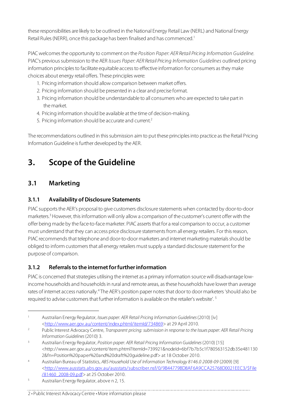these responsibilities are likely to be outlined in the National Energy Retail Law (NERL) and National Energy Retail Rules (NERR), once this package has been finalised and has commenced.<sup>1</sup>

PIAC welcomes the opportunity to comment on the *Position Paper: AER Retail Pricing Information Guideline.* PIAC's previous submission to the AER *Issues Paper: AER Retail Pricing Information Guidelines* outlined pricing information principles to facilitate equitable access to effective information for consumers as they make choices about energy retail offers. These principles were:

- 1. Pricing information should allow comparison between market offers.
- 2. Pricing information should be presented in a clear and precise format.
- 3. Pricing information should be understandable to all consumers who are expected to take part in the market.
- 4. Pricing information should be available at the time of decision-making.
- 5. Pricing information should be accurate and current.<sup>2</sup>

The recommendations outlined in this submission aim to put these principles into practice as the Retail Pricing Information Guideline is further developed by the AER.

# **3. Scope of the Guideline**

### **3.1 Marketing**

 $\overline{a}$ 

#### **3.1.1 Availability of Disclosure Statements**

PIAC supports the AER's proposal to give customers disclosure statements when contacted by door-to-door marketers.<sup>3</sup> However, this information will only allow a comparison of the customer's current offer with the offer being made by the face-to-face marketer. PIAC asserts that for a real comparison to occur, a customer must understand that they can access price disclosure statements from all energy retailers. For this reason, PIAC recommends that telephone and door-to-door marketers and internet marketing materials should be obliged to inform customers that all energy retailers must supply a standard disclosure statement for the purpose of comparison.

#### **3.1.2 Referrals to the internet for further information**

PIAC is concerned that strategies utilising the internet as a primary information source will disadvantage lowincome households and households in rural and remote areas, as these households have lower than average rates of internet access nationally.<sup>4</sup> The AER's position paper notes that door to door marketers 'should also be required to advise customers that further information is available on the retailer's website'. 5

#### 2 • Public Interest Advocacy Centre • More information please

<sup>1</sup> Australian Energy Regulator, *Issues paper: AER Retail Pricing Information Guidelines* (2010) [iv] <http://www.aer.gov.au/content/index.phtml/itemId/734869> at 29 April 2010.

<sup>2</sup> Public Interest Advocacy Centre, *Transparent pricing: submission in response to the Issues paper: AER Retail Pricing Information Guidelines* (2010) 3.

<sup>3</sup> Australian Energy Regulator, *Position paper: AER Retail Pricing Information Guidelines* (2010) [15] <http://www.aer.gov.au/content/item.phtml?itemId=739921&nodeId=6bf7b7b5c1f780563152db35e481130 2&fn=Position%20paper%20and%20draft%20guideline.pdf> at 18 October 2010.

<sup>4</sup> Australian Bureau of Statistics, *ABS Household Use of Information Technology 8146.0 2008-09* (2009) [9] <http://www.ausstats.abs.gov.au/ausstats/subscriber.nsf/0/9B44779BD8AF6A9CCA25768D0021EEC3/\$File /81460\_2008-09.pdf> at 25 October 2010.

<sup>5</sup> Australian Energy Regulator, above n 2, 15.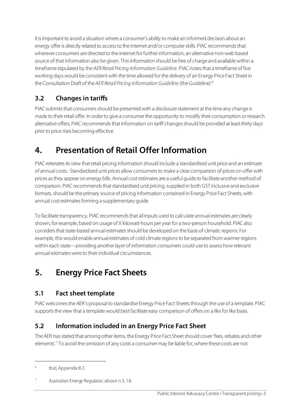It is important to avoid a situation where a consumer's ability to make an informed decision about an energy offer is directly related to access to the internet and/or computer skills. PIAC recommends that wherever consumers are directed to the internet for further information, an alternative non-web based source of that information also be given. This information should be free of charge and available within a timeframe stipulated by the *AER Retail Pricing Information Guideline*. PIAC notes that a timeframe of five working days would be consistent with the time allowed for the delivery of an Energy Price Fact Sheet in the Consultation Draft of the *AER Retail Pricing Information Guideline (*the Guideline*)*. 6

### **3.2 Changes in tariffs**

PIAC submits that consumers should be presented with a disclosure statement at the time any change is made to their retail offer. In order to give a consumer the opportunity to modify their consumption or research alternative offers, PIAC recommends that information on tariff changes should be provided at least thirty days prior to price rises becoming effective.

# **4. Presentation of Retail Offer Information**

PIAC reiterates its view that retail pricing information should include a standardised unit price and an estimate of annual costs. Standardised unit prices allow consumers to make a clear comparison of prices on offer with prices as they appear on energy bills. Annual cost estimates are a useful guide to facilitate another method of comparison. PIAC recommends that standardised unit pricing, supplied in both GST inclusive and exclusive formats, should be the primary source of pricing information contained in Energy Price Fact Sheets, with annual cost estimates forming a supplementary guide.

To facilitate transparency, PIAC recommends that all inputs used to calculate annual estimates are clearly shown, for example, based on usage of X kilowatt-hours per year for a two-person household. PIAC also considers that state-based annual estimates should be developed on the basis of climatic regions. For example, this would enable annual estimates of cold climate regions to be separated from warmer regions within each state—providing another layer of information consumers could use to assess how relevant annual estimates were to their individual circumstances.

# **5. Energy Price Fact Sheets**

### **5.1 Fact sheet template**

PIAC welcomes the AER's proposal to standardise Energy Price Fact Sheets through the use of a template. PIAC supports the view that a template would best facilitate easy comparison of offers on a like for like basis.

### **5.2 Information included in an Energy Price Fact Sheet**

The AER has stated that among other items, the Energy Price Fact Sheet should cover 'fees, rebates and other elements'.<sup>7</sup> To avoid the omission of any costs a consumer may be liable for, where these costs are not

 $\overline{a}$ 

<sup>6</sup> Ibid, Appendix B 2.

Australian Energy Regulator, above n 3, 18.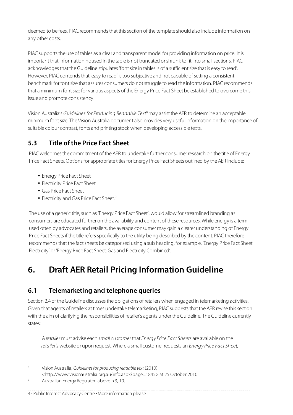deemed to be fees, PIAC recommends that this section of the template should also include information on any other costs.

PIAC supports the use of tables as a clear and transparent model for providing information on price. It is important that information housed in the table is not truncated or shrunk to fit into small sections. PIAC acknowledges that the Guideline stipulates 'font size in tables is of a sufficient size that is easy to read'. However, PIAC contends that 'easy to read' is too subjective and not capable of setting a consistent benchmark for font size that assures consumers do not struggle to read the information. PIAC recommends that a minimum font size for various aspects of the Energy Price Fact Sheet be established to overcome this issue and promote consistency.

Vision Australia's *Guidelines for Producing Readable Text*<sup>8</sup> may assist the AER to determine an acceptable minimum font size. The Vision Australia document also provides very useful information on the importance of suitable colour contrast, fonts and printing stock when developing accessible texts.

### **5.3 Title of the Price Fact Sheet**

PIAC welcomes the commitment of the AER to undertake further consumer research on the title of Energy Price Fact Sheets. Options for appropriate titles for Energy Price Fact Sheets outlined by the AER include:

- Energy Price Fact Sheet
- Electricity Price Fact Sheet
- Gas Price Fact Sheet
- Electricity and Gas Price Fact Sheet.<sup>9</sup>

The use of a generic title, such as 'Energy Price Fact Sheet', would allow for streamlined branding as consumers are educated further on the availability and content of these resources. While energy is a term used often by advocates and retailers, the average consumer may gain a clearer understanding of Energy Price Fact Sheets if the title refers specifically to the utility being described by the content. PIAC therefore recommends that the fact sheets be categorised using a sub heading, for example, 'Energy Price Fact Sheet: Electricity' or 'Energy Price Fact Sheet: Gas and Electricity Combined'.

# **6. Draft AER Retail Pricing Information Guideline**

### **6.1 Telemarketing and telephone queries**

Section 2.4 of the Guideline discusses the obligations of retailers when engaged in telemarketing activities. Given that agents of retailers at times undertake telemarketing, PIAC suggests that the AER revise this section with the aim of clarifying the responsibilities of retailer's agents under the Guideline. The Guideline currently states:

A *retailer* must advise each *small customer* that *Energy Price Fact Sheets* are available on the *retailer's* website or upon request. Where a small customer requests an *Energy Price Fact Sheet*,

<sup>8</sup> Vision Australia, *Guidelines for producing readable text* (2010)

<http://www.visionaustralia.org.au/info.aspx?page=1845> at 25 October 2010.

 $\overline{a}$ 

#### 4 • Public Interest Advocacy Centre • More information please

<sup>9</sup> Australian Energy Regulator, above n 3, 19.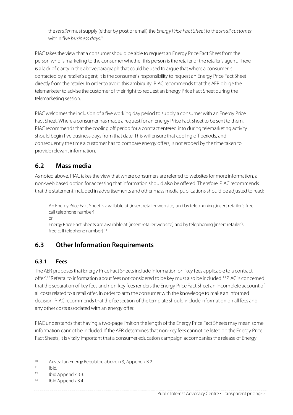the *retailer* must supply (either by post or email) the *Energy Price Fact Sheet* to the *small customer* within five *business days*. 10

PIAC takes the view that a consumer should be able to request an Energy Price Fact Sheet from the person who is marketing to the consumer whether this person is the retailer or the retailer's agent. There is a lack of clarity in the above paragraph that could be used to argue that where a consumer is contacted by a retailer's agent, it is the consumer's responsibility to request an Energy Price Fact Sheet directly from the retailer. In order to avoid this ambiguity, PIAC recommends that the AER oblige the telemarketer to advise the customer of their right to request an Energy Price Fact Sheet during the telemarketing session.

PIAC welcomes the inclusion of a five working day period to supply a consumer with an Energy Price Fact Sheet. Where a consumer has made a request for an Energy Price Fact Sheet to be sent to them, PIAC recommends that the cooling off period for a contract entered into during telemarketing activity should begin five business days from that date. This will ensure that cooling off periods, and consequently the time a customer has to compare energy offers, is not eroded by the time taken to provide relevant information.

#### **6.2 Mass media**

As noted above, PIAC takes the view that where consumers are referred to websites for more information, a non-web based option for accessing that information should also be offered. Therefore, PIAC recommends that the statement included in advertisements and other mass media publications should be adjusted to read:

An Energy Price Fact Sheet is available at [insert retailer website] and by telephoning [insert retailer's free call telephone number]

or

Energy Price Fact Sheets are available at [insert retailer website] and by telephoning [insert retailer's free call telephone number].<sup>11</sup>

### **6.3 Other Information Requirements**

#### **6.3.1 Fees**

The AER proposes that Energy Price Fact Sheets include information on 'key fees applicable to a contract offer'.12 Referral to information about fees not considered to be key must also be included.13 PIAC is concerned that the separation of key fees and non-key fees renders the Energy Price Fact Sheet an incomplete account of all costs related to a retail offer. In order to arm the consumer with the knowledge to make an informed decision, PIAC recommends that the fee section of the template should include information on all fees and any other costs associated with an energy offer.

PIAC understands that having a two-page limit on the length of the Energy Price Fact Sheets may mean some information cannot be included. If the AER determines that non-key fees cannot be listed on the Energy Price Fact Sheets, it is vitally important that a consumer education campaign accompanies the release of Energy

 $\overline{a}$ 

<sup>10</sup> Australian Energy Regulator, above n 3, Appendix B 2.

 $11$  Ibid.

<sup>12</sup> Ibid Appendix B 3.

<sup>13</sup> Ibid Appendix B 4.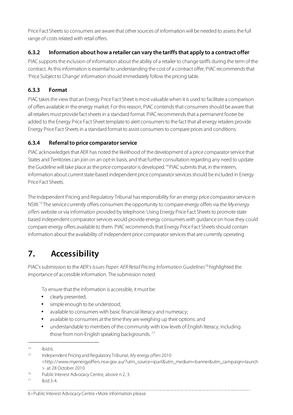Price Fact Sheets so consumers are aware that other sources of information will be needed to assess the full range of costs related with retail offers.

#### **6.3.2 Information about how a retailer can vary the tariffs that apply to a contract offer**

PIAC supports the inclusion of information about the ability of a retailer to change tariffs during the term of the contract. As this information is essential to understanding the cost of a contract offer, PIAC recommends that 'Price Subject to Change' information should immediately follow the pricing table.

#### **6.3.3 Format**

PIAC takes the view that an Energy Price Fact Sheet is most valuable when it is used to facilitate a comparison of offers available in the energy market. For this reason, PIAC contends that consumers should be aware that all retailers must provide fact sheets in a standard format. PIAC recommends that a permanent footer be added to the Energy Price Fact Sheet template to alert consumers to the fact that all energy retailers provide Energy Price Fact Sheets in a standard format to assist consumers to compare prices and conditions.

#### **6.3.4 Referral to price comparator service**

PIAC acknowledges that AER has noted the likelihood of the development of a price comparator service that States and Territories can join on an opt-in basis, and that further consultation regarding any need to update the Guideline will take place as the price comparator is developed.14 PIAC submits that, in the interim, information about current state-based independent price comparator services should be included in Energy Price Fact Sheets.

The Independent Pricing and Regulatory Tribunal has responsibility for an energy price comparator service in NSW.15 The service currently offers consumers the opportunity to compare energy offers via the *My energy offers* website or via information provided by telephone. Using Energy Price Fact Sheets to promote state based independent comparator services would provide energy consumers with guidance on how they could compare energy offers available to them. PIAC recommends that Energy Price Fact Sheets should contain information about the availability of independent price comparator services that are currently operating.

# **7. Accessibility**

PIAC's submission to the AER's *Issues Paper: AER Retail Pricing Information Guidelines*16 highlighted the importance of accessible information. The submission noted:

To ensure that the information is accessible, it must be:

- clearly presented;
- simple enough to be understood;
- available to consumers with basic financial literacy and numeracy;
- available to consumers at the time they are weighing up their options: and
- understandable to members of the community with low levels of English literacy, including those from non-English speaking backgrounds.<sup>17</sup>

 $\overline{a}$ 

 $14$  Ibid 6.

<sup>15</sup> Independent Pricing and Regulatory Tribunal, *My energy offers* 2010 <http://www.myenergyoffers.nsw.gov.au/?utm\_source=ipart&utm\_medium=banner&utm\_campaign=launch > at 28 October 2010.

<sup>16</sup> Public Interest Advocacy Centre, above n 2, 3.

 $17$  Ibid 3-4.

<sup>6 •</sup> Public Interest Advocacy Centre • More information please